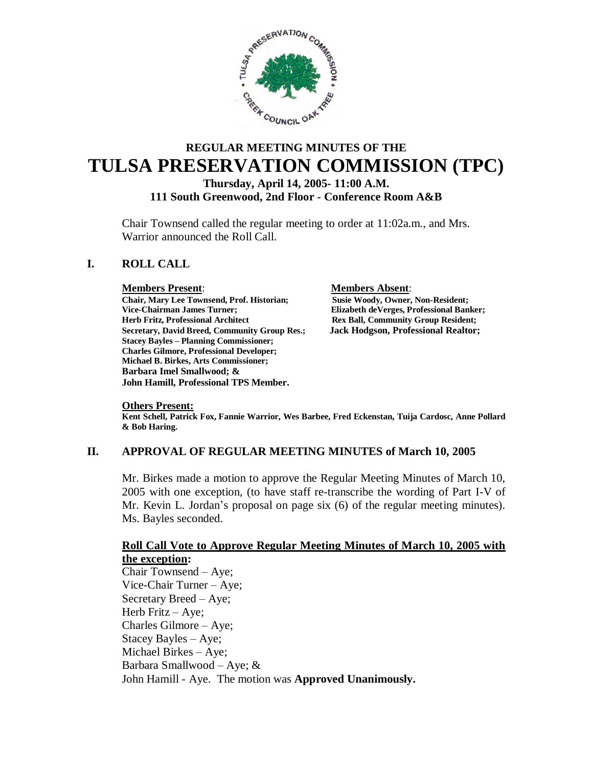

# **REGULAR MEETING MINUTES OF THE TULSA PRESERVATION COMMISSION (TPC)**

#### **Thursday, April 14, 2005- 11:00 A.M. 111 South Greenwood, 2nd Floor - Conference Room A&B**

Chair Townsend called the regular meeting to order at 11:02a.m., and Mrs. Warrior announced the Roll Call.

# **I. ROLL CALL**

#### **Members Present**: **Members Absent**:

**Chair, Mary Lee Townsend, Prof. Historian; Susie Woody, Owner, Non-Resident;** Vice-Chairman James Turner;<br> **Elizabeth deVerges, Professional Banker;**<br> **Elizabeth deVerges, Professional Banker;**<br>
Rex Ball, Community Group Resident; **Secretary, David Breed, Community Group Res.; Jack Hodgson, Professional Realtor; Stacey Bayles – Planning Commissioner; Charles Gilmore, Professional Developer; Michael B. Birkes, Arts Commissioner; Barbara Imel Smallwood; & John Hamill, Professional TPS Member.**

**Rex Ball, Community Group Resident;** 

#### **Others Present:**

**Kent Schell, Patrick Fox, Fannie Warrior, Wes Barbee, Fred Eckenstan, Tuija Cardosc, Anne Pollard & Bob Haring.**

## **II. APPROVAL OF REGULAR MEETING MINUTES of March 10, 2005**

Mr. Birkes made a motion to approve the Regular Meeting Minutes of March 10, 2005 with one exception, (to have staff re-transcribe the wording of Part I-V of Mr. Kevin L. Jordan's proposal on page six (6) of the regular meeting minutes). Ms. Bayles seconded.

#### **Roll Call Vote to Approve Regular Meeting Minutes of March 10, 2005 with the exception:**

Chair Townsend – Aye; Vice-Chair Turner – Aye; Secretary Breed – Aye; Herb Fritz – Aye; Charles Gilmore – Aye; Stacey Bayles – Aye; Michael Birkes – Aye; Barbara Smallwood – Aye; & John Hamill - Aye. The motion was **Approved Unanimously.**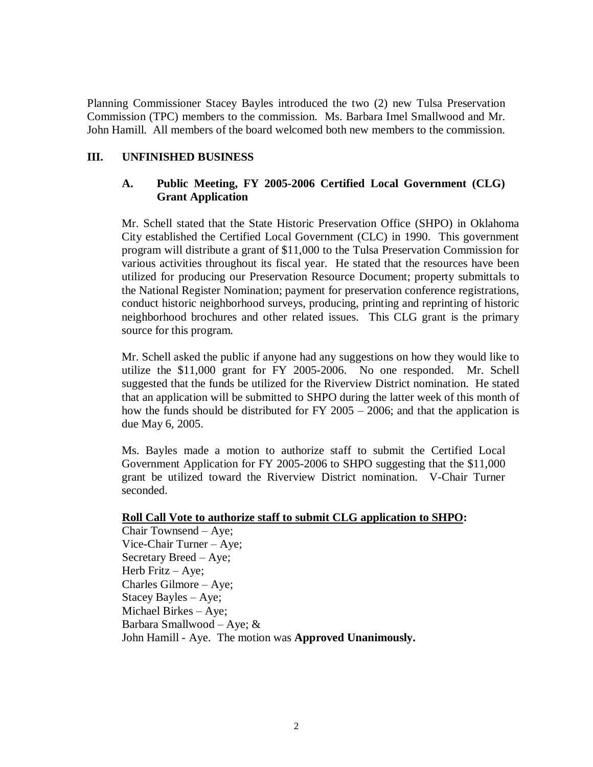Planning Commissioner Stacey Bayles introduced the two (2) new Tulsa Preservation Commission (TPC) members to the commission. Ms. Barbara Imel Smallwood and Mr. John Hamill. All members of the board welcomed both new members to the commission.

# **III. UNFINISHED BUSINESS**

# **A. Public Meeting, FY 2005-2006 Certified Local Government (CLG) Grant Application**

Mr. Schell stated that the State Historic Preservation Office (SHPO) in Oklahoma City established the Certified Local Government (CLC) in 1990. This government program will distribute a grant of \$11,000 to the Tulsa Preservation Commission for various activities throughout its fiscal year. He stated that the resources have been utilized for producing our Preservation Resource Document; property submittals to the National Register Nomination; payment for preservation conference registrations, conduct historic neighborhood surveys, producing, printing and reprinting of historic neighborhood brochures and other related issues. This CLG grant is the primary source for this program.

Mr. Schell asked the public if anyone had any suggestions on how they would like to utilize the \$11,000 grant for FY 2005-2006. No one responded. Mr. Schell suggested that the funds be utilized for the Riverview District nomination. He stated that an application will be submitted to SHPO during the latter week of this month of how the funds should be distributed for FY 2005 – 2006; and that the application is due May 6, 2005.

Ms. Bayles made a motion to authorize staff to submit the Certified Local Government Application for FY 2005-2006 to SHPO suggesting that the \$11,000 grant be utilized toward the Riverview District nomination. V-Chair Turner seconded.

#### **Roll Call Vote to authorize staff to submit CLG application to SHPO:**

Chair Townsend – Aye; Vice-Chair Turner – Aye; Secretary Breed – Aye; Herb Fritz – Aye; Charles Gilmore – Aye; Stacey Bayles – Aye; Michael Birkes – Aye; Barbara Smallwood – Aye; & John Hamill - Aye. The motion was **Approved Unanimously.**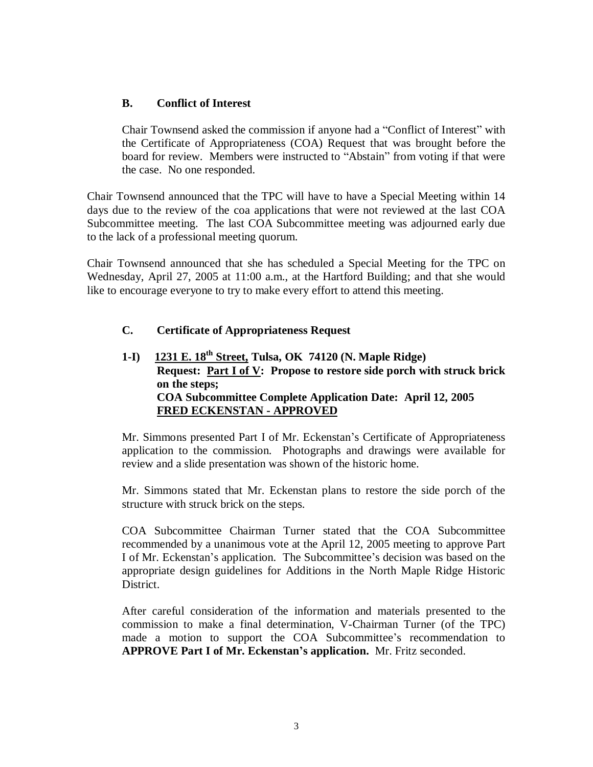# **B. Conflict of Interest**

Chair Townsend asked the commission if anyone had a "Conflict of Interest" with the Certificate of Appropriateness (COA) Request that was brought before the board for review. Members were instructed to "Abstain" from voting if that were the case. No one responded.

Chair Townsend announced that the TPC will have to have a Special Meeting within 14 days due to the review of the coa applications that were not reviewed at the last COA Subcommittee meeting. The last COA Subcommittee meeting was adjourned early due to the lack of a professional meeting quorum.

Chair Townsend announced that she has scheduled a Special Meeting for the TPC on Wednesday, April 27, 2005 at 11:00 a.m., at the Hartford Building; and that she would like to encourage everyone to try to make every effort to attend this meeting.

# **C. Certificate of Appropriateness Request**

**1-I) 1231 E. 18th Street, Tulsa, OK 74120 (N. Maple Ridge) Request: Part I of V: Propose to restore side porch with struck brick on the steps; COA Subcommittee Complete Application Date: April 12, 2005 FRED ECKENSTAN - APPROVED**

Mr. Simmons presented Part I of Mr. Eckenstan's Certificate of Appropriateness application to the commission. Photographs and drawings were available for review and a slide presentation was shown of the historic home.

Mr. Simmons stated that Mr. Eckenstan plans to restore the side porch of the structure with struck brick on the steps.

COA Subcommittee Chairman Turner stated that the COA Subcommittee recommended by a unanimous vote at the April 12, 2005 meeting to approve Part I of Mr. Eckenstan's application. The Subcommittee's decision was based on the appropriate design guidelines for Additions in the North Maple Ridge Historic District.

After careful consideration of the information and materials presented to the commission to make a final determination, V-Chairman Turner (of the TPC) made a motion to support the COA Subcommittee's recommendation to **APPROVE Part I of Mr. Eckenstan's application.** Mr. Fritz seconded.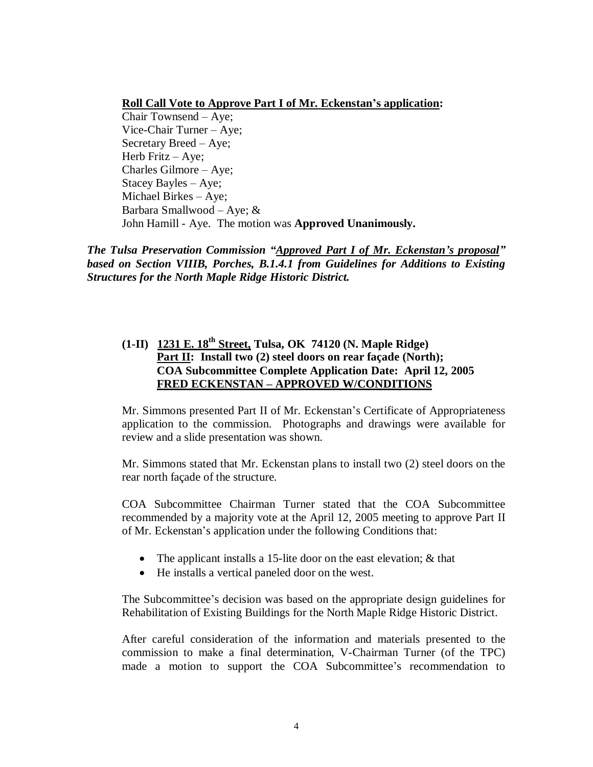# **Roll Call Vote to Approve Part I of Mr. Eckenstan's application:**

Chair Townsend – Aye; Vice-Chair Turner – Aye; Secretary Breed – Aye; Herb Fritz – Aye; Charles Gilmore – Aye; Stacey Bayles – Aye; Michael Birkes – Aye; Barbara Smallwood – Aye; & John Hamill - Aye. The motion was **Approved Unanimously.**

*The Tulsa Preservation Commission "Approved Part I of Mr. Eckenstan's proposal" based on Section VIIIB, Porches, B.1.4.1 from Guidelines for Additions to Existing Structures for the North Maple Ridge Historic District.*

# **(1-II) 1231 E. 18th Street, Tulsa, OK 74120 (N. Maple Ridge) Part II: Install two (2) steel doors on rear façade (North); COA Subcommittee Complete Application Date: April 12, 2005 FRED ECKENSTAN – APPROVED W/CONDITIONS**

Mr. Simmons presented Part II of Mr. Eckenstan's Certificate of Appropriateness application to the commission. Photographs and drawings were available for review and a slide presentation was shown.

Mr. Simmons stated that Mr. Eckenstan plans to install two (2) steel doors on the rear north façade of the structure.

COA Subcommittee Chairman Turner stated that the COA Subcommittee recommended by a majority vote at the April 12, 2005 meeting to approve Part II of Mr. Eckenstan's application under the following Conditions that:

- The applicant installs a 15-lite door on the east elevation; & that
- He installs a vertical paneled door on the west.

The Subcommittee's decision was based on the appropriate design guidelines for Rehabilitation of Existing Buildings for the North Maple Ridge Historic District.

After careful consideration of the information and materials presented to the commission to make a final determination, V-Chairman Turner (of the TPC) made a motion to support the COA Subcommittee's recommendation to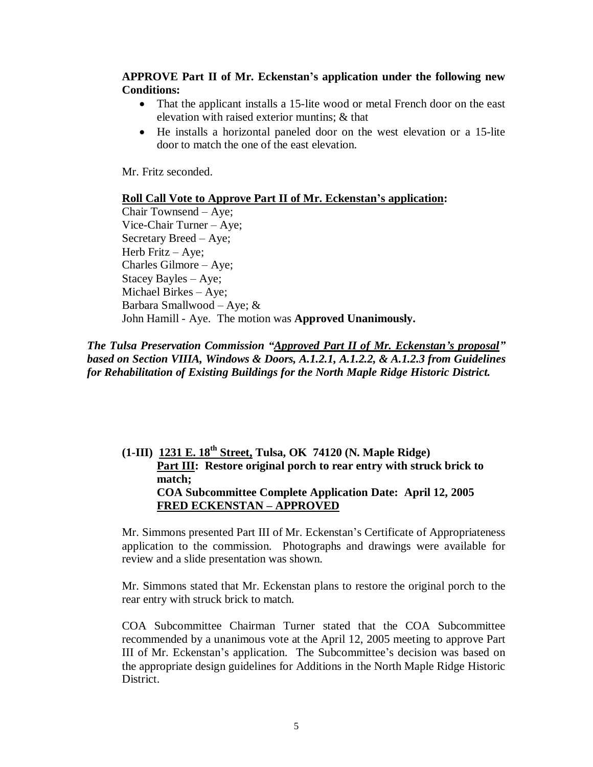# **APPROVE Part II of Mr. Eckenstan's application under the following new Conditions:**

- That the applicant installs a 15-lite wood or metal French door on the east elevation with raised exterior muntins; & that
- He installs a horizontal paneled door on the west elevation or a 15-lite door to match the one of the east elevation.

Mr. Fritz seconded.

#### **Roll Call Vote to Approve Part II of Mr. Eckenstan's application:**

Chair Townsend – Aye; Vice-Chair Turner – Aye; Secretary Breed – Aye; Herb Fritz – Aye; Charles Gilmore – Aye; Stacey Bayles – Aye; Michael Birkes – Aye; Barbara Smallwood – Aye; & John Hamill - Aye. The motion was **Approved Unanimously.**

*The Tulsa Preservation Commission "Approved Part II of Mr. Eckenstan's proposal" based on Section VIIIA, Windows & Doors, A.1.2.1, A.1.2.2, & A.1.2.3 from Guidelines for Rehabilitation of Existing Buildings for the North Maple Ridge Historic District.*

# **(1-III) 1231 E. 18th Street, Tulsa, OK 74120 (N. Maple Ridge) Part III: Restore original porch to rear entry with struck brick to match; COA Subcommittee Complete Application Date: April 12, 2005 FRED ECKENSTAN – APPROVED**

Mr. Simmons presented Part III of Mr. Eckenstan's Certificate of Appropriateness application to the commission. Photographs and drawings were available for review and a slide presentation was shown.

Mr. Simmons stated that Mr. Eckenstan plans to restore the original porch to the rear entry with struck brick to match.

COA Subcommittee Chairman Turner stated that the COA Subcommittee recommended by a unanimous vote at the April 12, 2005 meeting to approve Part III of Mr. Eckenstan's application. The Subcommittee's decision was based on the appropriate design guidelines for Additions in the North Maple Ridge Historic District.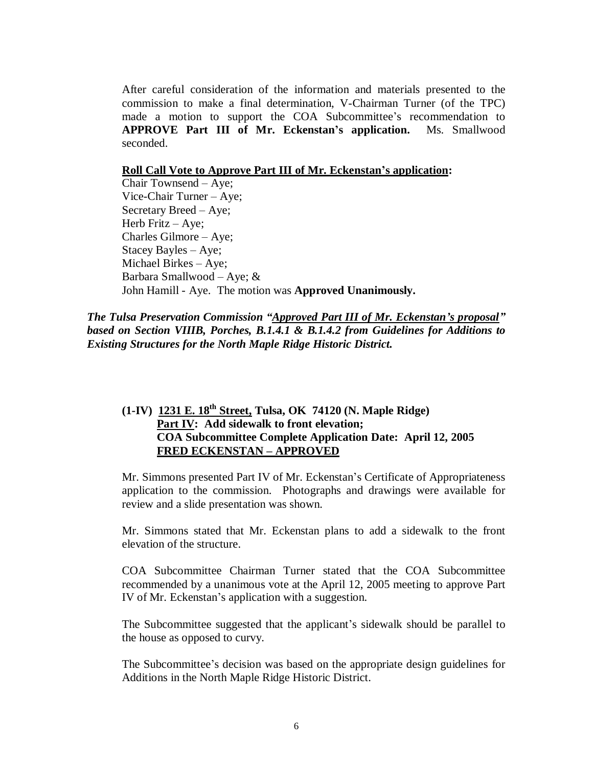After careful consideration of the information and materials presented to the commission to make a final determination, V-Chairman Turner (of the TPC) made a motion to support the COA Subcommittee's recommendation to **APPROVE Part III of Mr. Eckenstan's application.** Ms. Smallwood seconded.

#### **Roll Call Vote to Approve Part III of Mr. Eckenstan's application:**

Chair Townsend – Aye; Vice-Chair Turner – Aye; Secretary Breed – Aye; Herb Fritz – Aye; Charles Gilmore – Aye; Stacey Bayles – Aye; Michael Birkes – Aye; Barbara Smallwood – Aye; & John Hamill - Aye. The motion was **Approved Unanimously.**

*The Tulsa Preservation Commission "Approved Part III of Mr. Eckenstan's proposal" based on Section VIIIB, Porches, B.1.4.1 & B.1.4.2 from Guidelines for Additions to Existing Structures for the North Maple Ridge Historic District.*

# **(1-IV) 1231 E. 18th Street, Tulsa, OK 74120 (N. Maple Ridge) Part IV: Add sidewalk to front elevation; COA Subcommittee Complete Application Date: April 12, 2005 FRED ECKENSTAN –APPROVED**

Mr. Simmons presented Part IV of Mr. Eckenstan's Certificate of Appropriateness application to the commission. Photographs and drawings were available for review and a slide presentation was shown.

Mr. Simmons stated that Mr. Eckenstan plans to add a sidewalk to the front elevation of the structure.

COA Subcommittee Chairman Turner stated that the COA Subcommittee recommended by a unanimous vote at the April 12, 2005 meeting to approve Part IV of Mr. Eckenstan's application with a suggestion.

The Subcommittee suggested that the applicant's sidewalk should be parallel to the house as opposed to curvy.

The Subcommittee's decision was based on the appropriate design guidelines for Additions in the North Maple Ridge Historic District.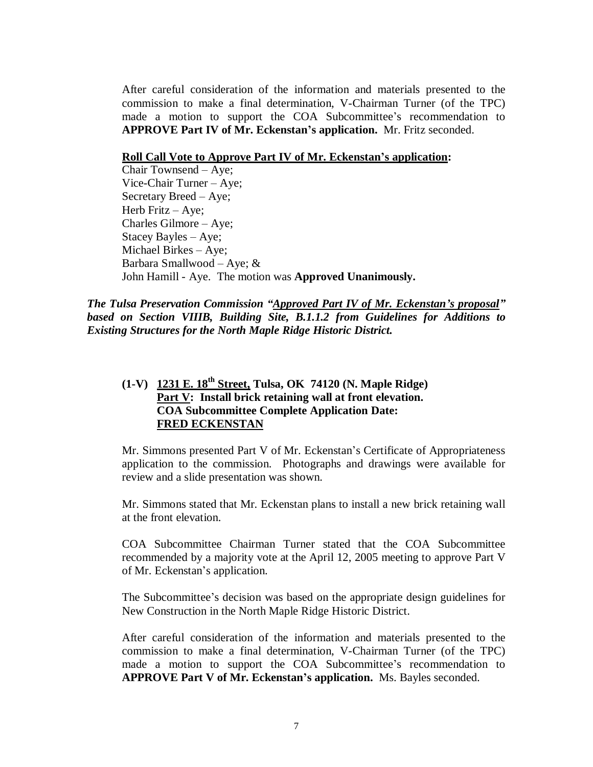After careful consideration of the information and materials presented to the commission to make a final determination, V-Chairman Turner (of the TPC) made a motion to support the COA Subcommittee's recommendation to **APPROVE Part IV of Mr. Eckenstan's application.** Mr. Fritz seconded.

#### **Roll Call Vote to Approve Part IV of Mr. Eckenstan's application:**

Chair Townsend – Aye; Vice-Chair Turner – Aye; Secretary Breed – Aye; Herb Fritz – Aye; Charles Gilmore – Aye; Stacey Bayles – Aye; Michael Birkes – Aye; Barbara Smallwood – Aye; & John Hamill - Aye. The motion was **Approved Unanimously.**

*The Tulsa Preservation Commission "Approved Part IV of Mr. Eckenstan's proposal" based on Section VIIIB, Building Site, B.1.1.2 from Guidelines for Additions to Existing Structures for the North Maple Ridge Historic District.*

# **(1-V) 1231 E. 18th Street, Tulsa, OK 74120 (N. Maple Ridge) Part V: Install brick retaining wall at front elevation. COA Subcommittee Complete Application Date: FRED ECKENSTAN**

Mr. Simmons presented Part V of Mr. Eckenstan's Certificate of Appropriateness application to the commission. Photographs and drawings were available for review and a slide presentation was shown.

Mr. Simmons stated that Mr. Eckenstan plans to install a new brick retaining wall at the front elevation.

COA Subcommittee Chairman Turner stated that the COA Subcommittee recommended by a majority vote at the April 12, 2005 meeting to approve Part V of Mr. Eckenstan's application.

The Subcommittee's decision was based on the appropriate design guidelines for New Construction in the North Maple Ridge Historic District.

After careful consideration of the information and materials presented to the commission to make a final determination, V-Chairman Turner (of the TPC) made a motion to support the COA Subcommittee's recommendation to **APPROVE Part V of Mr. Eckenstan's application.** Ms. Bayles seconded.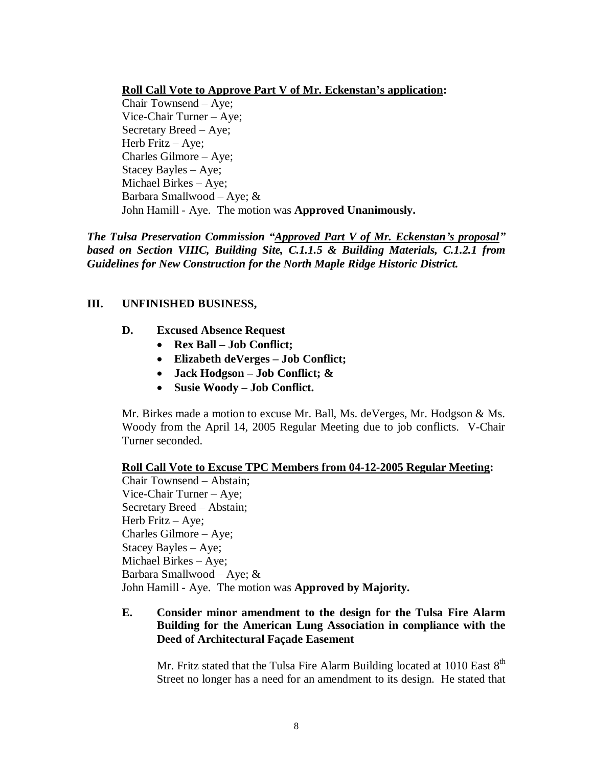## **Roll Call Vote to Approve Part V of Mr. Eckenstan's application:**

Chair Townsend – Aye; Vice-Chair Turner – Aye; Secretary Breed – Aye; Herb Fritz – Aye; Charles Gilmore – Aye; Stacey Bayles – Aye; Michael Birkes – Aye; Barbara Smallwood – Aye; & John Hamill - Aye. The motion was **Approved Unanimously.**

*The Tulsa Preservation Commission "Approved Part V of Mr. Eckenstan's proposal" based on Section VIIIC, Building Site, C.1.1.5 & Building Materials, C.1.2.1 from Guidelines for New Construction for the North Maple Ridge Historic District.*

## **III. UNFINISHED BUSINESS,**

- **D. Excused Absence Request**
	- **Rex Ball – Job Conflict;**
	- **Elizabeth deVerges – Job Conflict;**
	- **Jack Hodgson – Job Conflict; &**
	- **Susie Woody – Job Conflict.**

Mr. Birkes made a motion to excuse Mr. Ball, Ms. deVerges, Mr. Hodgson & Ms. Woody from the April 14, 2005 Regular Meeting due to job conflicts. V-Chair Turner seconded.

#### **Roll Call Vote to Excuse TPC Members from 04-12-2005 Regular Meeting:**

Chair Townsend – Abstain; Vice-Chair Turner – Aye; Secretary Breed – Abstain; Herb Fritz – Aye; Charles Gilmore – Aye; Stacey Bayles – Aye; Michael Birkes – Aye; Barbara Smallwood – Aye; & John Hamill - Aye. The motion was **Approved by Majority.**

# **E. Consider minor amendment to the design for the Tulsa Fire Alarm Building for the American Lung Association in compliance with the Deed of Architectural Façade Easement**

Mr. Fritz stated that the Tulsa Fire Alarm Building located at  $1010$  East  $8<sup>th</sup>$ Street no longer has a need for an amendment to its design. He stated that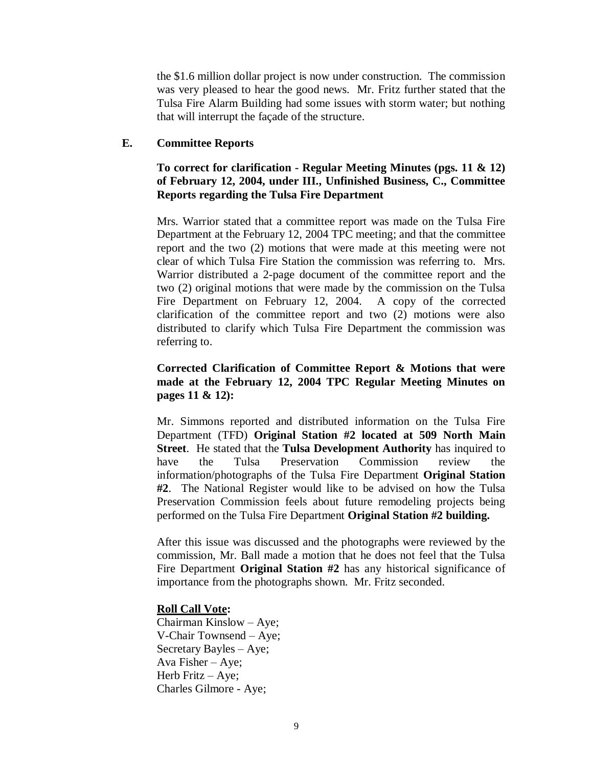the \$1.6 million dollar project is now under construction. The commission was very pleased to hear the good news. Mr. Fritz further stated that the Tulsa Fire Alarm Building had some issues with storm water; but nothing that will interrupt the façade of the structure.

#### **E. Committee Reports**

# **To correct for clarification - Regular Meeting Minutes (pgs. 11 & 12) of February 12, 2004, under III., Unfinished Business, C., Committee Reports regarding the Tulsa Fire Department**

Mrs. Warrior stated that a committee report was made on the Tulsa Fire Department at the February 12, 2004 TPC meeting; and that the committee report and the two (2) motions that were made at this meeting were not clear of which Tulsa Fire Station the commission was referring to. Mrs. Warrior distributed a 2-page document of the committee report and the two (2) original motions that were made by the commission on the Tulsa Fire Department on February 12, 2004. A copy of the corrected clarification of the committee report and two (2) motions were also distributed to clarify which Tulsa Fire Department the commission was referring to.

# **Corrected Clarification of Committee Report & Motions that were made at the February 12, 2004 TPC Regular Meeting Minutes on pages 11 & 12):**

Mr. Simmons reported and distributed information on the Tulsa Fire Department (TFD) **Original Station #2 located at 509 North Main Street**. He stated that the **Tulsa Development Authority** has inquired to have the Tulsa Preservation Commission review the information/photographs of the Tulsa Fire Department **Original Station #2**. The National Register would like to be advised on how the Tulsa Preservation Commission feels about future remodeling projects being performed on the Tulsa Fire Department **Original Station #2 building.** 

After this issue was discussed and the photographs were reviewed by the commission, Mr. Ball made a motion that he does not feel that the Tulsa Fire Department **Original Station #2** has any historical significance of importance from the photographs shown. Mr. Fritz seconded.

#### **Roll Call Vote:**

Chairman Kinslow – Aye; V-Chair Townsend – Aye; Secretary Bayles – Aye; Ava Fisher – Aye; Herb Fritz – Aye; Charles Gilmore - Aye;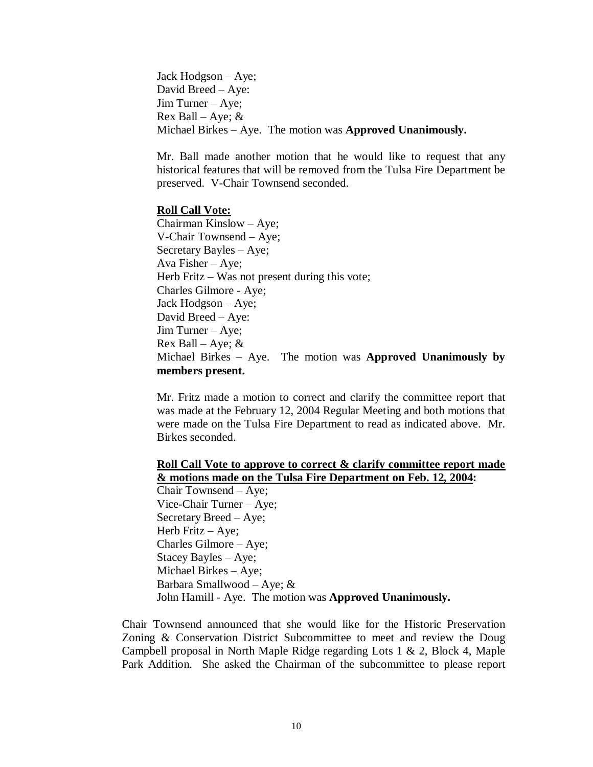Jack Hodgson – Aye; David Breed – Aye: Jim Turner – Aye; Rex Ball – Aye;  $&$ Michael Birkes – Aye. The motion was **Approved Unanimously.**

Mr. Ball made another motion that he would like to request that any historical features that will be removed from the Tulsa Fire Department be preserved. V-Chair Townsend seconded.

#### **Roll Call Vote:**

Chairman Kinslow – Aye; V-Chair Townsend – Aye; Secretary Bayles – Aye; Ava Fisher – Aye; Herb Fritz – Was not present during this vote; Charles Gilmore - Aye; Jack Hodgson – Aye; David Breed – Aye: Jim Turner – Aye; Rex Ball – Aye;  $&$ Michael Birkes – Aye. The motion was **Approved Unanimously by members present.**

Mr. Fritz made a motion to correct and clarify the committee report that was made at the February 12, 2004 Regular Meeting and both motions that were made on the Tulsa Fire Department to read as indicated above. Mr. Birkes seconded.

# **Roll Call Vote to approve to correct & clarify committee report made & motions made on the Tulsa Fire Department on Feb. 12, 2004:**

Chair Townsend – Aye; Vice-Chair Turner – Aye; Secretary Breed – Aye; Herb Fritz – Aye; Charles Gilmore – Aye; Stacey Bayles – Aye; Michael Birkes – Aye; Barbara Smallwood – Aye; & John Hamill - Aye. The motion was **Approved Unanimously.**

Chair Townsend announced that she would like for the Historic Preservation Zoning & Conservation District Subcommittee to meet and review the Doug Campbell proposal in North Maple Ridge regarding Lots 1 & 2, Block 4, Maple Park Addition. She asked the Chairman of the subcommittee to please report